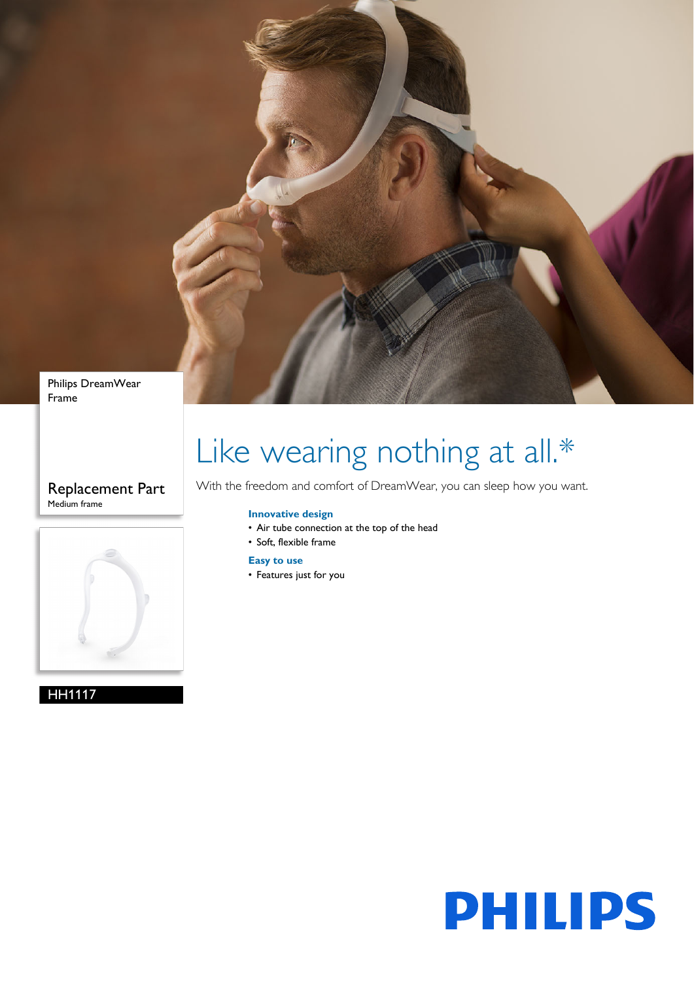

Philips DreamWear Frame

### Replacement Part Medium frame



HH1117

# Like wearing nothing at all.\*

With the freedom and comfort of DreamWear, you can sleep how you want.

#### **Innovative design**

- Air tube connection at the top of the head
- Soft, flexible frame

#### **Easy to use**

• Features just for you